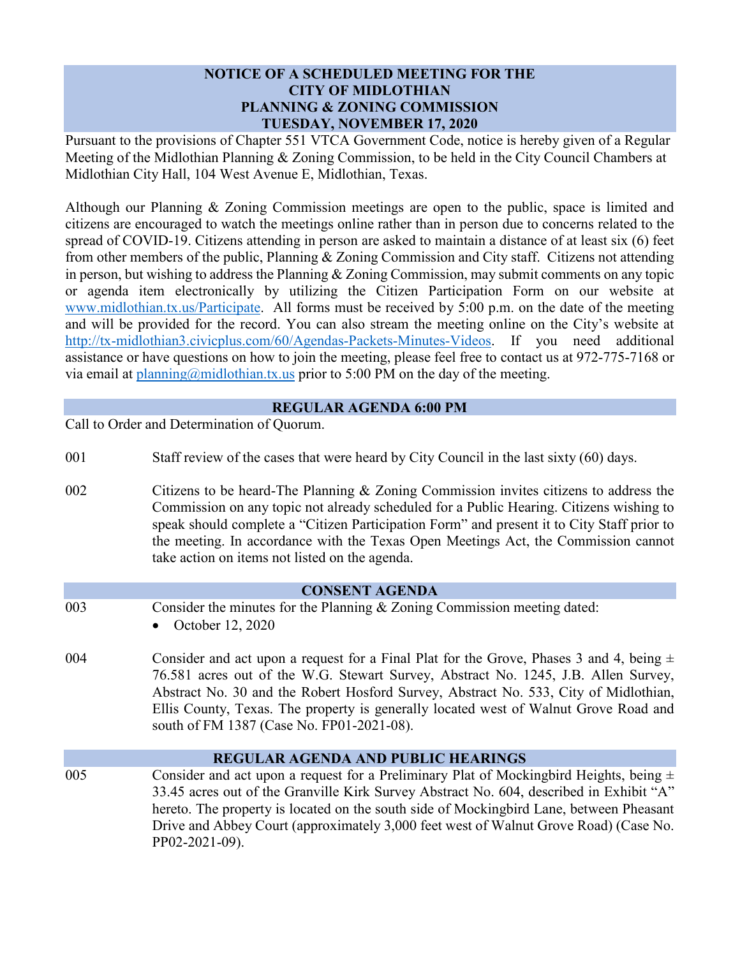## **NOTICE OF A SCHEDULED MEETING FOR THE CITY OF MIDLOTHIAN PLANNING & ZONING COMMISSION TUESDAY, NOVEMBER 17, 2020**

Pursuant to the provisions of Chapter 551 VTCA Government Code, notice is hereby given of a Regular Meeting of the Midlothian Planning & Zoning Commission, to be held in the City Council Chambers at Midlothian City Hall, 104 West Avenue E, Midlothian, Texas.

Although our Planning & Zoning Commission meetings are open to the public, space is limited and citizens are encouraged to watch the meetings online rather than in person due to concerns related to the spread of COVID-19. Citizens attending in person are asked to maintain a distance of at least six (6) feet from other members of the public, Planning & Zoning Commission and City staff. Citizens not attending in person, but wishing to address the Planning & Zoning Commission, may submit comments on any topic or agenda item electronically by utilizing the Citizen Participation Form on our website at [www.midlothian.tx.us/Participate.](http://www.midlothian.tx.us/Participate) All forms must be received by 5:00 p.m. on the date of the meeting and will be provided for the record. You can also stream the meeting online on the City's website at [http://tx-midlothian3.civicplus.com/60/Agendas-Packets-Minutes-Videos.](http://tx-midlothian3.civicplus.com/60/Agendas-Packets-Minutes-Videos) If you need additional assistance or have questions on how to join the meeting, please feel free to contact us at 972-775-7168 or via email at  $planning@midlothian.txt.us$  prior to 5:00 PM on the day of the meeting.

## **REGULAR AGENDA 6:00 PM**

Call to Order and Determination of Quorum.

- 001 Staff review of the cases that were heard by City Council in the last sixty (60) days.
- 002 Citizens to be heard-The Planning & Zoning Commission invites citizens to address the Commission on any topic not already scheduled for a Public Hearing. Citizens wishing to speak should complete a "Citizen Participation Form" and present it to City Staff prior to the meeting. In accordance with the Texas Open Meetings Act, the Commission cannot take action on items not listed on the agenda.

#### **CONSENT AGENDA**

- 003 Consider the minutes for the Planning & Zoning Commission meeting dated:
	- October 12, 2020
- 004 Consider and act upon a request for a Final Plat for the Grove, Phases 3 and 4, being  $\pm$ 76.581 acres out of the W.G. Stewart Survey, Abstract No. 1245, J.B. Allen Survey, Abstract No. 30 and the Robert Hosford Survey, Abstract No. 533, City of Midlothian, Ellis County, Texas. The property is generally located west of Walnut Grove Road and south of FM 1387 (Case No. FP01-2021-08).

# **REGULAR AGENDA AND PUBLIC HEARINGS**

005 Consider and act upon a request for a Preliminary Plat of Mockingbird Heights, being  $\pm$ 33.45 acres out of the Granville Kirk Survey Abstract No. 604, described in Exhibit "A" hereto. The property is located on the south side of Mockingbird Lane, between Pheasant Drive and Abbey Court (approximately 3,000 feet west of Walnut Grove Road) (Case No. PP02-2021-09).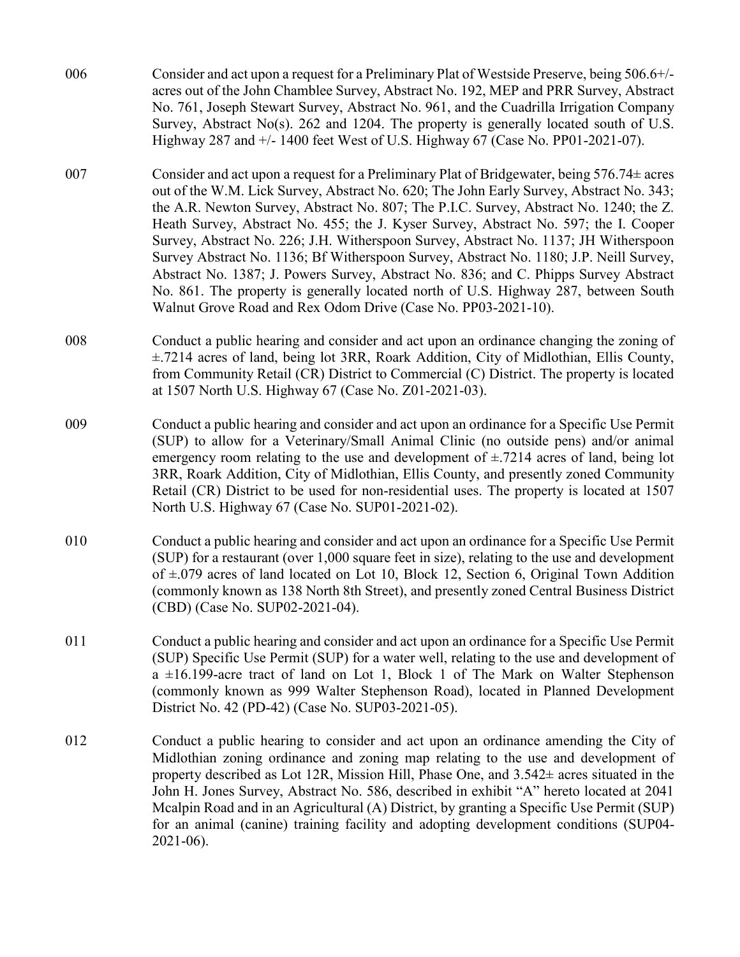- 006 Consider and act upon a request for a Preliminary Plat of Westside Preserve, being 506.6+/ acres out of the John Chamblee Survey, Abstract No. 192, MEP and PRR Survey, Abstract No. 761, Joseph Stewart Survey, Abstract No. 961, and the Cuadrilla Irrigation Company Survey, Abstract No(s). 262 and 1204. The property is generally located south of U.S. Highway 287 and +/- 1400 feet West of U.S. Highway 67 (Case No. PP01-2021-07).
- 007 Consider and act upon a request for a Preliminary Plat of Bridgewater, being  $576.74 \pm \text{acres}$ out of the W.M. Lick Survey, Abstract No. 620; The John Early Survey, Abstract No. 343; the A.R. Newton Survey, Abstract No. 807; The P.I.C. Survey, Abstract No. 1240; the Z. Heath Survey, Abstract No. 455; the J. Kyser Survey, Abstract No. 597; the I. Cooper Survey, Abstract No. 226; J.H. Witherspoon Survey, Abstract No. 1137; JH Witherspoon Survey Abstract No. 1136; Bf Witherspoon Survey, Abstract No. 1180; J.P. Neill Survey, Abstract No. 1387; J. Powers Survey, Abstract No. 836; and C. Phipps Survey Abstract No. 861. The property is generally located north of U.S. Highway 287, between South Walnut Grove Road and Rex Odom Drive (Case No. PP03-2021-10).
- 008 Conduct a public hearing and consider and act upon an ordinance changing the zoning of ±.7214 acres of land, being lot 3RR, Roark Addition, City of Midlothian, Ellis County, from Community Retail (CR) District to Commercial (C) District. The property is located at 1507 North U.S. Highway 67 (Case No. Z01-2021-03).
- 009 Conduct a public hearing and consider and act upon an ordinance for a Specific Use Permit (SUP) to allow for a Veterinary/Small Animal Clinic (no outside pens) and/or animal emergency room relating to the use and development of  $\pm$ .7214 acres of land, being lot 3RR, Roark Addition, City of Midlothian, Ellis County, and presently zoned Community Retail (CR) District to be used for non-residential uses. The property is located at 1507 North U.S. Highway 67 (Case No. SUP01-2021-02).
- 010 Conduct a public hearing and consider and act upon an ordinance for a Specific Use Permit (SUP) for a restaurant (over 1,000 square feet in size), relating to the use and development of ±.079 acres of land located on Lot 10, Block 12, Section 6, Original Town Addition (commonly known as 138 North 8th Street), and presently zoned Central Business District (CBD) (Case No. SUP02-2021-04).
- 011 Conduct a public hearing and consider and act upon an ordinance for a Specific Use Permit (SUP) Specific Use Permit (SUP) for a water well, relating to the use and development of  $a \pm 16.199$ -acre tract of land on Lot 1, Block 1 of The Mark on Walter Stephenson (commonly known as 999 Walter Stephenson Road), located in Planned Development District No. 42 (PD-42) (Case No. SUP03-2021-05).
- 012 Conduct a public hearing to consider and act upon an ordinance amending the City of Midlothian zoning ordinance and zoning map relating to the use and development of property described as Lot 12R, Mission Hill, Phase One, and  $3.542\pm$  acres situated in the John H. Jones Survey, Abstract No. 586, described in exhibit "A" hereto located at 2041 Mcalpin Road and in an Agricultural (A) District, by granting a Specific Use Permit (SUP) for an animal (canine) training facility and adopting development conditions (SUP04- 2021-06).